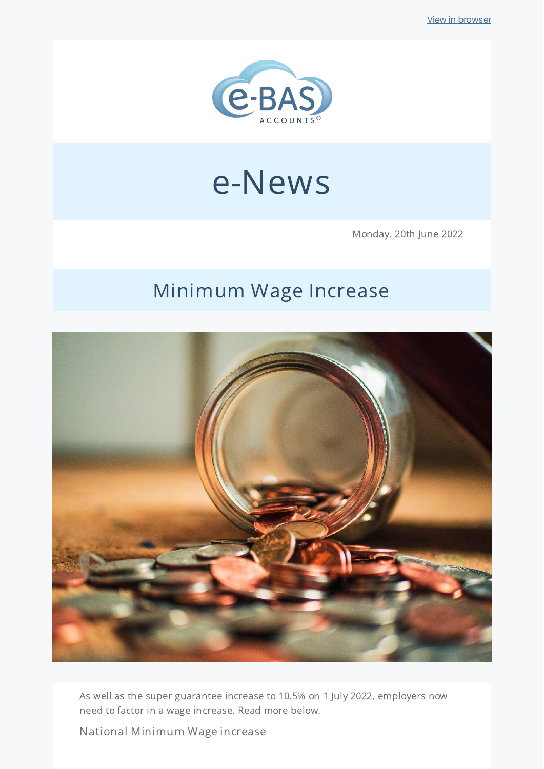

# e-News

Monday. 20th June 2022

# Minimum Wage Increase



As well as the super guarantee increase to 10.5% on 1 July 2022, employers now need to factor in a wage increase. Read more below.

National Minimum Wage increase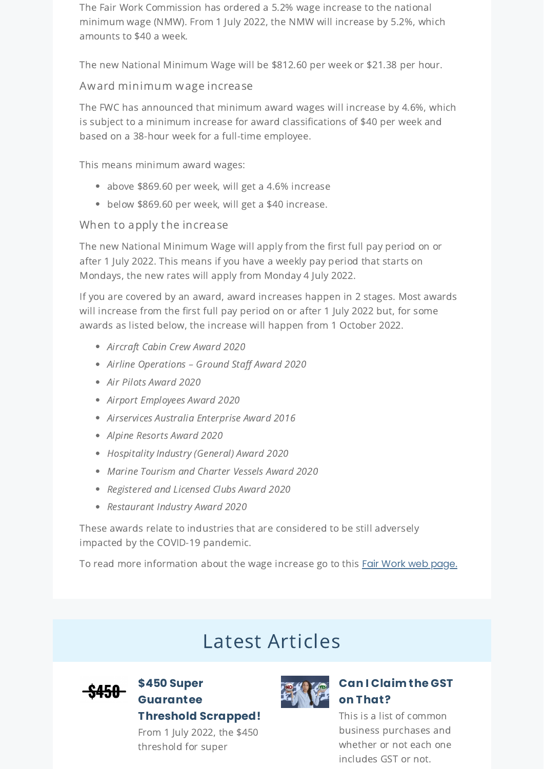The Fair Work Commission has ordered a 5.2% wage increase to the national minimum wage (NMW). From 1 July 2022, the NMW will increase by 5.2%, which amounts to \$40 a week.

The new National Minimum Wage will be \$812.60 per week or \$21.38 per hour.

#### Award minimum wage increase

The FWC has announced that minimum award wages will increase by 4.6%, which is subject to a minimum increase for award classifications of \$40 per week and based on a 38-hour week for a full-time employee.

This means minimum award wages:

- above \$869.60 per week, will get a 4.6% increase
- below \$869.60 per week, will get a \$40 increase.

#### When to apply the increase

The new National Minimum Wage will apply from the first full pay period on or after 1 July 2022. This means if you have a weekly pay period that starts on Mondays, the new rates will apply from Monday 4 July 2022.

If you are covered by an award, award increases happen in 2 stages. Most awards will increase from the first full pay period on or after 1 July 2022 but, for some awards as listed below, the increase will happen from 1 October 2022.

- Aircraft Cabin Crew Award 2020
- Airline Operations Ground Staff Award 2020
- Air Pilots Award 2020
- Airport Employees Award 2020
- Airservices Australia Enterprise Award 2016
- Alpine Resorts Award 2020
- Hospitality Industry (General) Award 2020
- Marine Tourism and Charter Vessels Award 2020
- Registered and Licensed Clubs Award 2020
- Restaurant Industry Award 2020

These awards relate to industries that are considered to be still adversely impacted by the COVID-19 pandemic.

To read more information about the wage increase go to this Fair Work web [page.](https://www.fairwork.gov.au/newsroom/news/get-set-for-a-minimum-wage-increase)

## Latest Articles



### **\$450 Super [Guarantee](https://www.e-bas.com.au/450-super-guarantee-threshold-scrapped/) Threshold Scrapped!**

From 1 July 2022, the \$450 threshold for super



### **Can I [Claim](https://www.e-bas.com.au/can-i-claim-the-gst-on-that/) the GST on That?**

This is a list of common business purchases and whether or not each one includes GST or not.